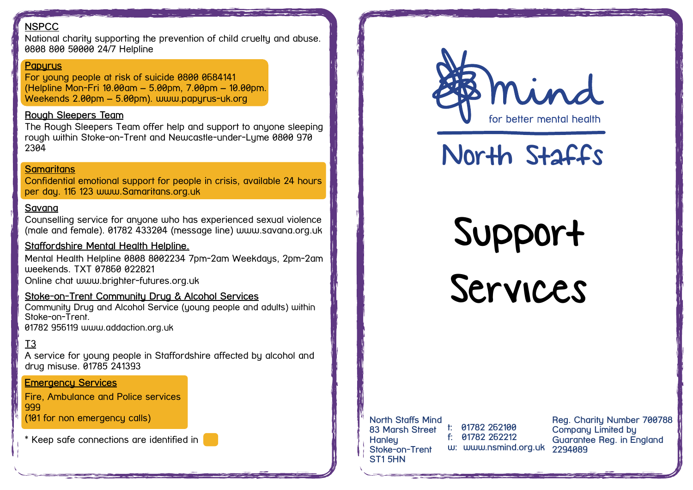## **NSPCC**

National charity supporting the prevention of child cruelty and abuse. 0808 800 50000 24/7 Helpline

#### **Papyrus**

For young people at risk of suicide 0800 0684141 (Helpline Mon-Fri 10.00am – 5.00pm, 7.00pm – 10.00pm. Weekends 2.00pm – 5.00pm). www.papyrus-uk.org

#### **Rough Sleepers Team**

The Rough Sleepers Team offer help and support to anyone sleeping rough within Stoke-on-Trent and Newcastle-under-Lyme 0800 970 2304

#### **Samaritans**

Confidential emotional support for people in crisis, available 24 hours per day. 116 123 [www.Samaritans.org.uk](http://www.Samaritans.org.uk)

### **Savana**

Counselling service for anyone who has experienced sexual violence (male and female). 01782 433204 (message line) [www.savana.org.uk](http://www.savana.org.uk)

#### **Staffordshire Mental Health Helpline.**

Mental Health Helpline 0808 8002234 7pm-2am Weekdays, 2pm-2am weekends. TXT 07860 022821 Online chat www.brighter-futures.org.uk

#### **Stoke-on-Trent Community Drug & Alcohol Services**

Community Drug and Alcohol Service (young people and adults) within Stoke-on-Trent. 01782 956119 [www.addaction.org.uk](http://www.aquarius.org.uk)

## T3

A service for young people in Staffordshire affected by alcohol and drug misuse. 01785 241393

#### **Emergency Services**

Fire, Ambulance and Police services 999

(101 for non emergency calls)

\* Keep safe connections are identified in P



# North Staffs

Support Services

#### **North Staffs Mind 83 Marsh Street t: 01782 262100 Hanley Stoke-on-Trent ST1 5HN**

**f: 01782 262212 w: www.nsmind.org.uk**

**Reg. Charity Number 700788 Company Limited by Guarantee Reg. in England 2294089**